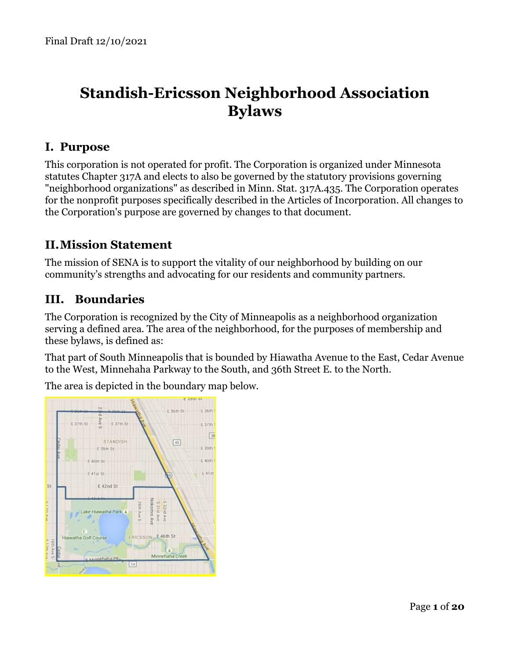# **Standish-Ericsson Neighborhood Association Bylaws**

# <span id="page-0-0"></span>**I. Purpose**

This corporation is not operated for profit. The Corporation is organized under Minnesota statutes Chapter 317A and elects to also be governed by the statutory provisions governing "neighborhood organizations" as described in Minn. Stat. 317A.435. The Corporation operates for the nonprofit purposes specifically described in the Articles of Incorporation. All changes to the Corporation's purpose are governed by changes to that document.

# **II.Mission Statement**

The mission of SENA is to support the vitality of our neighborhood by building on our community's strengths and advocating for our residents and community partners.

# <span id="page-0-1"></span>**III. Boundaries**

The Corporation is recognized by the City of Minneapolis as a neighborhood organization serving a defined area. The area of the neighborhood, for the purposes of membership and these bylaws, is defined as:

That part of South Minneapolis that is bounded by Hiawatha Avenue to the East, Cedar Avenue to the West, Minnehaha Parkway to the South, and 36th Street E. to the North.

The area is depicted in the boundary map below.

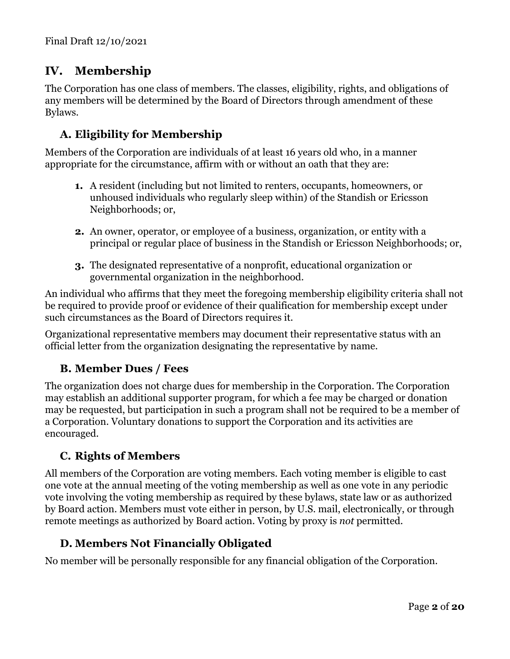# <span id="page-1-0"></span>**IV. Membership**

The Corporation has one class of members. The classes, eligibility, rights, and obligations of any members will be determined by the Board of Directors through amendment of these Bylaws.

# <span id="page-1-1"></span>**A. Eligibility for Membership**

Members of the Corporation are individuals of at least 16 years old who, in a manner appropriate for the circumstance, affirm with or without an oath that they are:

- **1.** A resident (including but not limited to renters, occupants, homeowners, or unhoused individuals who regularly sleep within) of the Standish or Ericsson Neighborhoods; or,
- **2.** An owner, operator, or employee of a business, organization, or entity with a principal or regular place of business in the Standish or Ericsson Neighborhoods; or,
- **3.** The designated representative of a nonprofit, educational organization or governmental organization in the neighborhood.

An individual who affirms that they meet the foregoing membership eligibility criteria shall not be required to provide proof or evidence of their qualification for membership except under such circumstances as the Board of Directors requires it.

Organizational representative members may document their representative status with an official letter from the organization designating the representative by name.

### <span id="page-1-2"></span>**B. Member Dues / Fees**

The organization does not charge dues for membership in the Corporation. The Corporation may establish an additional supporter program, for which a fee may be charged or donation may be requested, but participation in such a program shall not be required to be a member of a Corporation. Voluntary donations to support the Corporation and its activities are encouraged.

# <span id="page-1-3"></span>**C. Rights of Members**

All members of the Corporation are voting members. Each voting member is eligible to cast one vote at the annual meeting of the voting membership as well as one vote in any periodic vote involving the voting membership as required by these bylaws, state law or as authorized by Board action. Members must vote either in person, by U.S. mail, electronically, or through remote meetings as authorized by Board action. Voting by proxy is *not* permitted.

# <span id="page-1-4"></span>**D. Members Not Financially Obligated**

No member will be personally responsible for any financial obligation of the Corporation.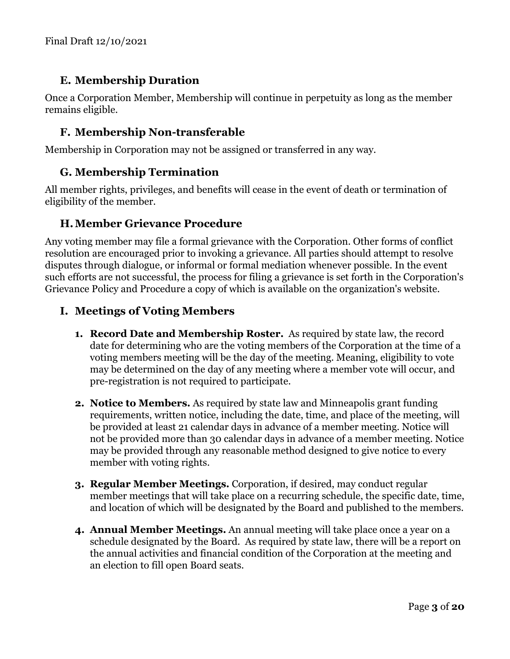# <span id="page-2-0"></span>**E. Membership Duration**

Once a Corporation Member, Membership will continue in perpetuity as long as the member remains eligible.

# <span id="page-2-1"></span>**F. Membership Non-transferable**

<span id="page-2-2"></span>Membership in Corporation may not be assigned or transferred in any way.

# **G. Membership Termination**

All member rights, privileges, and benefits will cease in the event of death or termination of eligibility of the member.

### <span id="page-2-3"></span>**H.Member Grievance Procedure**

Any voting member may file a formal grievance with the Corporation. Other forms of conflict resolution are encouraged prior to invoking a grievance. All parties should attempt to resolve disputes through dialogue, or informal or formal mediation whenever possible. In the event such efforts are not successful, the process for filing a grievance is set forth in the Corporation's Grievance Policy and Procedure a copy of which is available on the organization's website.

### <span id="page-2-4"></span>**I. Meetings of Voting Members**

- **1. Record Date and Membership Roster.** As required by state law, the record date for determining who are the voting members of the Corporation at the time of a voting members meeting will be the day of the meeting. Meaning, eligibility to vote may be determined on the day of any meeting where a member vote will occur, and pre-registration is not required to participate.
- **2. Notice to Members.** As required by state law and Minneapolis grant funding requirements, written notice, including the date, time, and place of the meeting, will be provided at least 21 calendar days in advance of a member meeting. Notice will not be provided more than 30 calendar days in advance of a member meeting. Notice may be provided through any reasonable method designed to give notice to every member with voting rights.
- **3. Regular Member Meetings.** Corporation, if desired, may conduct regular member meetings that will take place on a recurring schedule, the specific date, time, and location of which will be designated by the Board and published to the members.
- **4. Annual Member Meetings.** An annual meeting will take place once a year on a schedule designated by the Board. As required by state law, there will be a report on the annual activities and financial condition of the Corporation at the meeting and an election to fill open Board seats.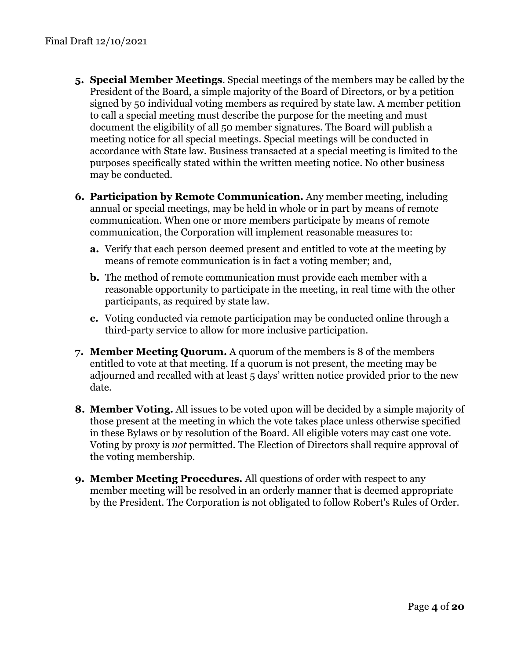- **5. Special Member Meetings**. Special meetings of the members may be called by the President of the Board, a simple majority of the Board of Directors, or by a petition signed by 50 individual voting members as required by state law. A member petition to call a special meeting must describe the purpose for the meeting and must document the eligibility of all 50 member signatures. The Board will publish a meeting notice for all special meetings. Special meetings will be conducted in accordance with State law. Business transacted at a special meeting is limited to the purposes specifically stated within the written meeting notice. No other business may be conducted.
- **6. Participation by Remote Communication.** Any member meeting, including annual or special meetings, may be held in whole or in part by means of remote communication. When one or more members participate by means of remote communication, the Corporation will implement reasonable measures to:
	- **a.** Verify that each person deemed present and entitled to vote at the meeting by means of remote communication is in fact a voting member; and,
	- **b.** The method of remote communication must provide each member with a reasonable opportunity to participate in the meeting, in real time with the other participants, as required by state law.
	- **c.** Voting conducted via remote participation may be conducted online through a third-party service to allow for more inclusive participation.
- **7. Member Meeting Quorum.** A quorum of the members is 8 of the members entitled to vote at that meeting. If a quorum is not present, the meeting may be adjourned and recalled with at least 5 days' written notice provided prior to the new date.
- **8. Member Voting.** All issues to be voted upon will be decided by a simple majority of those present at the meeting in which the vote takes place unless otherwise specified in these Bylaws or by resolution of the Board. All eligible voters may cast one vote. Voting by proxy is *not* permitted. The Election of Directors shall require approval of the voting membership.
- **9. Member Meeting Procedures.** All questions of order with respect to any member meeting will be resolved in an orderly manner that is deemed appropriate by the President. The Corporation is not obligated to follow Robert's Rules of Order.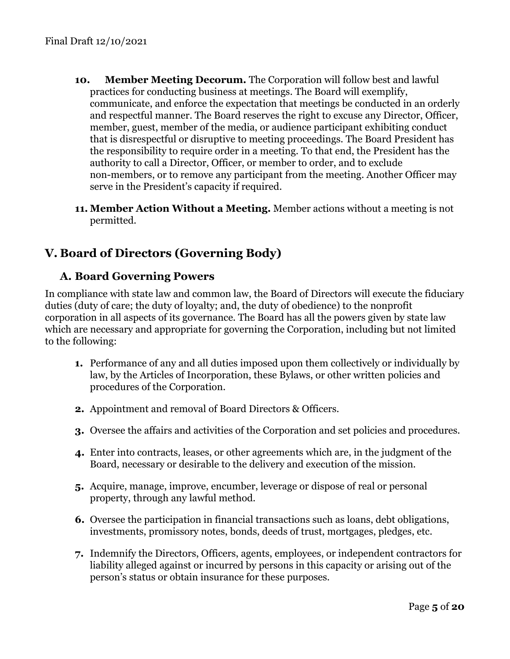- **10. Member Meeting Decorum.** The Corporation will follow best and lawful practices for conducting business at meetings. The Board will exemplify, communicate, and enforce the expectation that meetings be conducted in an orderly and respectful manner. The Board reserves the right to excuse any Director, Officer, member, guest, member of the media, or audience participant exhibiting conduct that is disrespectful or disruptive to meeting proceedings. The Board President has the responsibility to require order in a meeting. To that end, the President has the authority to call a Director, Officer, or member to order, and to exclude non-members, or to remove any participant from the meeting. Another Officer may serve in the President's capacity if required.
- **11. Member Action Without a Meeting.** Member actions without a meeting is not permitted.

# <span id="page-4-1"></span><span id="page-4-0"></span>**V. Board of Directors (Governing Body)**

# **A. Board Governing Powers**

In compliance with state law and common law, the Board of Directors will execute the fiduciary duties (duty of care; the duty of loyalty; and, the duty of obedience) to the nonprofit corporation in all aspects of its governance. The Board has all the powers given by state law which are necessary and appropriate for governing the Corporation, including but not limited to the following:

- **1.** Performance of any and all duties imposed upon them collectively or individually by law, by the Articles of Incorporation, these Bylaws, or other written policies and procedures of the Corporation.
- **2.** Appointment and removal of Board Directors & Officers.
- **3.** Oversee the affairs and activities of the Corporation and set policies and procedures.
- **4.** Enter into contracts, leases, or other agreements which are, in the judgment of the Board, necessary or desirable to the delivery and execution of the mission.
- **5.** Acquire, manage, improve, encumber, leverage or dispose of real or personal property, through any lawful method.
- **6.** Oversee the participation in financial transactions such as loans, debt obligations, investments, promissory notes, bonds, deeds of trust, mortgages, pledges, etc.
- **7.** Indemnify the Directors, Officers, agents, employees, or independent contractors for liability alleged against or incurred by persons in this capacity or arising out of the person's status or obtain insurance for these purposes.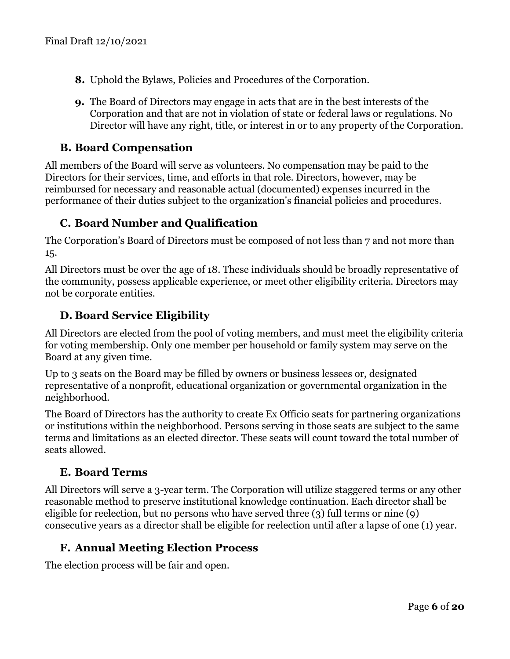- **8.** Uphold the Bylaws, Policies and Procedures of the Corporation.
- **9.** The Board of Directors may engage in acts that are in the best interests of the Corporation and that are not in violation of state or federal laws or regulations. No Director will have any right, title, or interest in or to any property of the Corporation.

#### <span id="page-5-0"></span>**B. Board Compensation**

All members of the Board will serve as volunteers. No compensation may be paid to the Directors for their services, time, and efforts in that role. Directors, however, may be reimbursed for necessary and reasonable actual (documented) expenses incurred in the performance of their duties subject to the organization's financial policies and procedures.

### <span id="page-5-1"></span>**C. Board Number and Qualification**

The Corporation's Board of Directors must be composed of not less than 7 and not more than 15.

All Directors must be over the age of 18. These individuals should be broadly representative of the community, possess applicable experience, or meet other eligibility criteria. Directors may not be corporate entities.

### **D. Board Service Eligibility**

All Directors are elected from the pool of voting members, and must meet the eligibility criteria for voting membership. Only one member per household or family system may serve on the Board at any given time.

Up to 3 seats on the Board may be filled by owners or business lessees or, designated representative of a nonprofit, educational organization or governmental organization in the neighborhood.

<span id="page-5-2"></span>The Board of Directors has the authority to create Ex Officio seats for partnering organizations or institutions within the neighborhood. Persons serving in those seats are subject to the same terms and limitations as an elected director. These seats will count toward the total number of seats allowed.

#### **E. Board Terms**

All Directors will serve a 3-year term. The Corporation will utilize staggered terms or any other reasonable method to preserve institutional knowledge continuation. Each director shall be eligible for reelection, but no persons who have served three (3) full terms or nine (9) consecutive years as a director shall be eligible for reelection until after a lapse of one (1) year.

### **F. Annual Meeting Election Process**

The election process will be fair and open.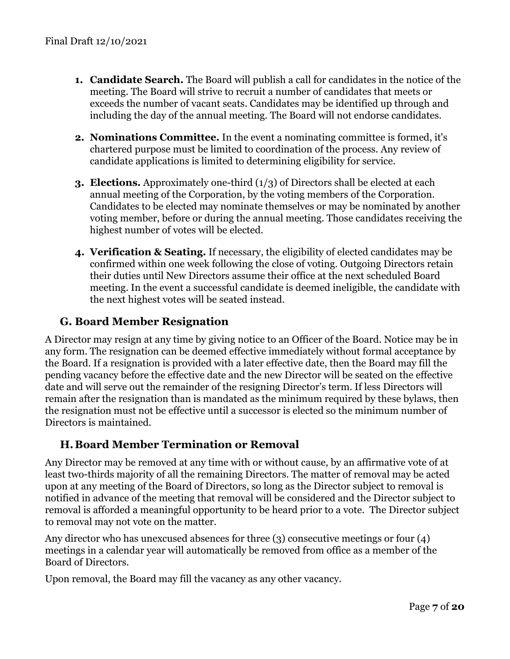- **1. Candidate Search.** The Board will publish a call for candidates in the notice of the meeting. The Board will strive to recruit a number of candidates that meets or exceeds the number of vacant seats. Candidates may be identified up through and including the day of the annual meeting. The Board will not endorse candidates.
- **2. Nominations Committee.** In the event a nominating committee is formed, it's chartered purpose must be limited to coordination of the process. Any review of candidate applications is limited to determining eligibility for service.
- **3. Elections.** Approximately one-third (1/3) of Directors shall be elected at each annual meeting of the Corporation, by the voting members of the Corporation. Candidates to be elected may nominate themselves or may be nominated by another voting member, before or during the annual meeting. Those candidates receiving the highest number of votes will be elected.
- **4. Verification & Seating.** If necessary, the eligibility of elected candidates may be confirmed within one week following the close of voting. Outgoing Directors retain their duties until New Directors assume their office at the next scheduled Board meeting. In the event a successful candidate is deemed ineligible, the candidate with the next highest votes will be seated instead.

# <span id="page-6-0"></span>**G. Board Member Resignation**

A Director may resign at any time by giving notice to an Officer of the Board. Notice may be in any form. The resignation can be deemed effective immediately without formal acceptance by the Board. If a resignation is provided with a later effective date, then the Board may fill the pending vacancy before the effective date and the new Director will be seated on the effective date and will serve out the remainder of the resigning Director's term. If less Directors will remain after the resignation than is mandated as the minimum required by these bylaws, then the resignation must not be effective until a successor is elected so the minimum number of Directors is maintained.

### <span id="page-6-1"></span>**H.Board Member Termination or Removal**

Any Director may be removed at any time with or without cause, by an affirmative vote of at least two-thirds majority of all the remaining Directors. The matter of removal may be acted upon at any meeting of the Board of Directors, so long as the Director subject to removal is notified in advance of the meeting that removal will be considered and the Director subject to removal is afforded a meaningful opportunity to be heard prior to a vote. The Director subject to removal may not vote on the matter.

Any director who has unexcused absences for three (3) consecutive meetings or four (4) meetings in a calendar year will automatically be removed from office as a member of the Board of Directors.

Upon removal, the Board may fill the vacancy as any other vacancy.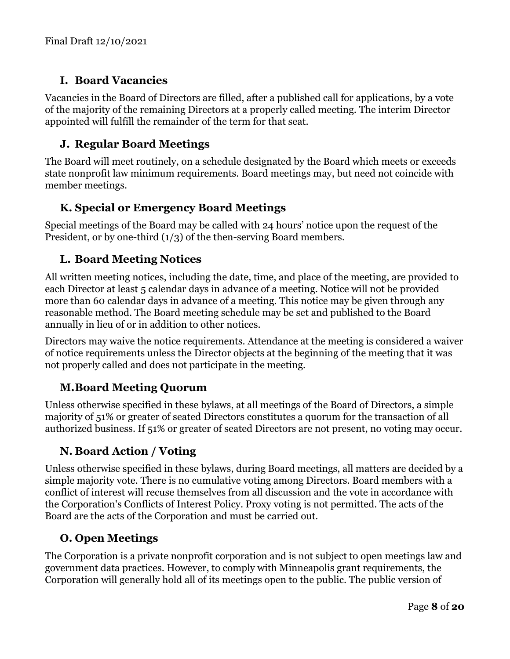# <span id="page-7-0"></span>**I. Board Vacancies**

Vacancies in the Board of Directors are filled, after a published call for applications, by a vote of the majority of the remaining Directors at a properly called meeting. The interim Director appointed will fulfill the remainder of the term for that seat.

# <span id="page-7-1"></span>**J. Regular Board Meetings**

The Board will meet routinely, on a schedule designated by the Board which meets or exceeds state nonprofit law minimum requirements. Board meetings may, but need not coincide with member meetings.

# <span id="page-7-2"></span>**K. Special or Emergency Board Meetings**

Special meetings of the Board may be called with 24 hours' notice upon the request of the President, or by one-third (1/3) of the then-serving Board members.

# <span id="page-7-3"></span>**L. Board Meeting Notices**

All written meeting notices, including the date, time, and place of the meeting, are provided to each Director at least 5 calendar days in advance of a meeting. Notice will not be provided more than 60 calendar days in advance of a meeting. This notice may be given through any reasonable method. The Board meeting schedule may be set and published to the Board annually in lieu of or in addition to other notices.

Directors may waive the notice requirements. Attendance at the meeting is considered a waiver of notice requirements unless the Director objects at the beginning of the meeting that it was not properly called and does not participate in the meeting.

# <span id="page-7-4"></span>**M.Board Meeting Quorum**

Unless otherwise specified in these bylaws, at all meetings of the Board of Directors, a simple majority of 51% or greater of seated Directors constitutes a quorum for the transaction of all authorized business. If 51% or greater of seated Directors are not present, no voting may occur.

# <span id="page-7-5"></span>**N. Board Action / Voting**

Unless otherwise specified in these bylaws, during Board meetings, all matters are decided by a simple majority vote. There is no cumulative voting among Directors. Board members with a conflict of interest will recuse themselves from all discussion and the vote in accordance with the Corporation's Conflicts of Interest Policy. Proxy voting is not permitted. The acts of the Board are the acts of the Corporation and must be carried out.

### <span id="page-7-6"></span>**O. Open Meetings**

The Corporation is a private nonprofit corporation and is not subject to open meetings law and government data practices. However, to comply with Minneapolis grant requirements, the Corporation will generally hold all of its meetings open to the public. The public version of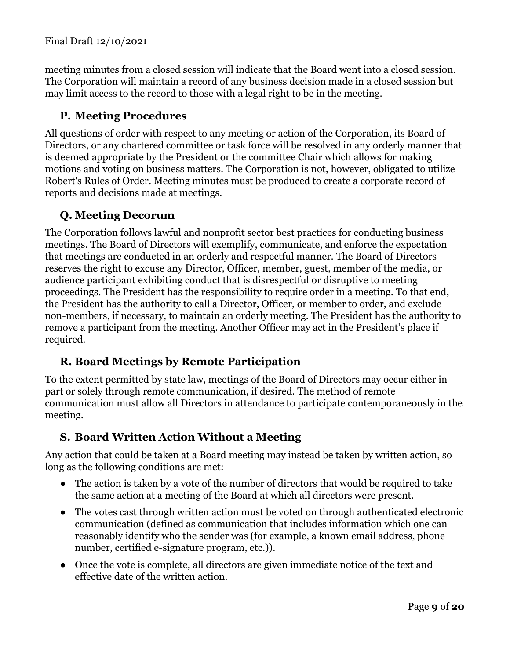meeting minutes from a closed session will indicate that the Board went into a closed session. The Corporation will maintain a record of any business decision made in a closed session but may limit access to the record to those with a legal right to be in the meeting.

# <span id="page-8-0"></span>**P. Meeting Procedures**

All questions of order with respect to any meeting or action of the Corporation, its Board of Directors, or any chartered committee or task force will be resolved in any orderly manner that is deemed appropriate by the President or the committee Chair which allows for making motions and voting on business matters. The Corporation is not, however, obligated to utilize Robert's Rules of Order. Meeting minutes must be produced to create a corporate record of reports and decisions made at meetings.

# <span id="page-8-1"></span>**Q. Meeting Decorum**

The Corporation follows lawful and nonprofit sector best practices for conducting business meetings. The Board of Directors will exemplify, communicate, and enforce the expectation that meetings are conducted in an orderly and respectful manner. The Board of Directors reserves the right to excuse any Director, Officer, member, guest, member of the media, or audience participant exhibiting conduct that is disrespectful or disruptive to meeting proceedings. The President has the responsibility to require order in a meeting. To that end, the President has the authority to call a Director, Officer, or member to order, and exclude non-members, if necessary, to maintain an orderly meeting. The President has the authority to remove a participant from the meeting. Another Officer may act in the President's place if required.

# <span id="page-8-2"></span>**R. Board Meetings by Remote Participation**

To the extent permitted by state law, meetings of the Board of Directors may occur either in part or solely through remote communication, if desired. The method of remote communication must allow all Directors in attendance to participate contemporaneously in the meeting.

### <span id="page-8-3"></span>**S. Board Written Action Without a Meeting**

Any action that could be taken at a Board meeting may instead be taken by written action, so long as the following conditions are met:

- The action is taken by a vote of the number of directors that would be required to take the same action at a meeting of the Board at which all directors were present.
- The votes cast through written action must be voted on through authenticated electronic communication (defined as communication that includes information which one can reasonably identify who the sender was (for example, a known email address, phone number, certified e-signature program, etc.)).
- Once the vote is complete, all directors are given immediate notice of the text and effective date of the written action.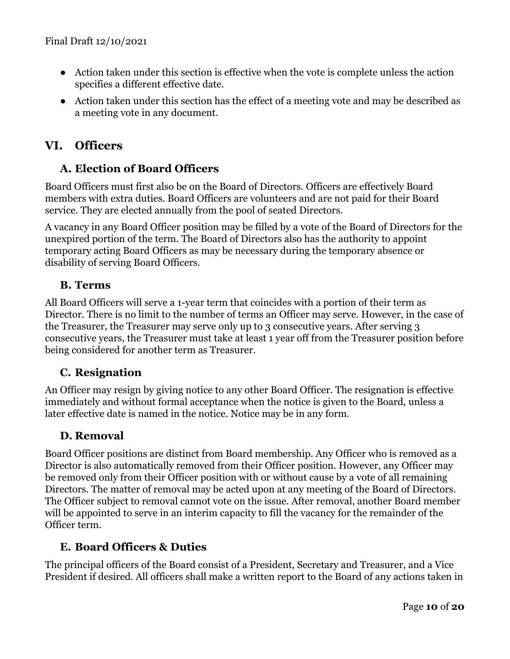- Action taken under this section is effective when the vote is complete unless the action specifies a different effective date.
- Action taken under this section has the effect of a meeting vote and may be described as a meeting vote in any document.

# <span id="page-9-1"></span><span id="page-9-0"></span>**VI. Officers**

# **A. Election of Board Officers**

Board Officers must first also be on the Board of Directors. Officers are effectively Board members with extra duties. Board Officers are volunteers and are not paid for their Board service. They are elected annually from the pool of seated Directors.

A vacancy in any Board Officer position may be filled by a vote of the Board of Directors for the unexpired portion of the term. The Board of Directors also has the authority to appoint temporary acting Board Officers as may be necessary during the temporary absence or disability of serving Board Officers.

# <span id="page-9-2"></span>**B. Terms**

All Board Officers will serve a 1-year term that coincides with a portion of their term as Director. There is no limit to the number of terms an Officer may serve. However, in the case of the Treasurer, the Treasurer may serve only up to 3 consecutive years. After serving 3 consecutive years, the Treasurer must take at least 1 year off from the Treasurer position before being considered for another term as Treasurer.

# <span id="page-9-3"></span>**C. Resignation**

An Officer may resign by giving notice to any other Board Officer. The resignation is effective immediately and without formal acceptance when the notice is given to the Board, unless a later effective date is named in the notice. Notice may be in any form.

# <span id="page-9-4"></span>**D. Removal**

Board Officer positions are distinct from Board membership. Any Officer who is removed as a Director is also automatically removed from their Officer position. However, any Officer may be removed only from their Officer position with or without cause by a vote of all remaining Directors. The matter of removal may be acted upon at any meeting of the Board of Directors. The Officer subject to removal cannot vote on the issue. After removal, another Board member will be appointed to serve in an interim capacity to fill the vacancy for the remainder of the Officer term.

# <span id="page-9-5"></span>**E. Board Officers & Duties**

The principal officers of the Board consist of a President, Secretary and Treasurer, and a Vice President if desired. All officers shall make a written report to the Board of any actions taken in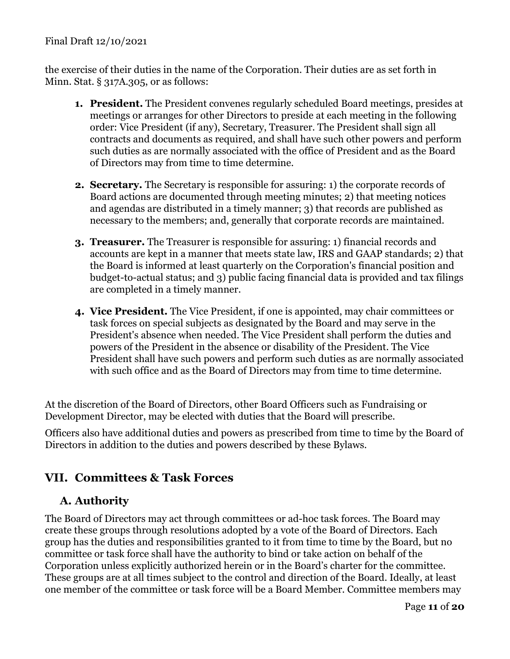#### Final Draft 12/10/2021

the exercise of their duties in the name of the Corporation. Their duties are as set forth in Minn. Stat. § 317A.305, or as follows:

- **1. President.** The President convenes regularly scheduled Board meetings, presides at meetings or arranges for other Directors to preside at each meeting in the following order: Vice President (if any), Secretary, Treasurer. The President shall sign all contracts and documents as required, and shall have such other powers and perform such duties as are normally associated with the office of President and as the Board of Directors may from time to time determine.
- **2. Secretary.** The Secretary is responsible for assuring: 1) the corporate records of Board actions are documented through meeting minutes; 2) that meeting notices and agendas are distributed in a timely manner; 3) that records are published as necessary to the members; and, generally that corporate records are maintained.
- **3. Treasurer.** The Treasurer is responsible for assuring: 1) financial records and accounts are kept in a manner that meets state law, IRS and GAAP standards; 2) that the Board is informed at least quarterly on the Corporation's financial position and budget-to-actual status; and 3) public facing financial data is provided and tax filings are completed in a timely manner.
- **4. Vice President.** The Vice President, if one is appointed, may chair committees or task forces on special subjects as designated by the Board and may serve in the President's absence when needed. The Vice President shall perform the duties and powers of the President in the absence or disability of the President. The Vice President shall have such powers and perform such duties as are normally associated with such office and as the Board of Directors may from time to time determine.

At the discretion of the Board of Directors, other Board Officers such as Fundraising or Development Director, may be elected with duties that the Board will prescribe.

Officers also have additional duties and powers as prescribed from time to time by the Board of Directors in addition to the duties and powers described by these Bylaws.

# <span id="page-10-1"></span><span id="page-10-0"></span>**VII. Committees & Task Forces**

# **A. Authority**

The Board of Directors may act through committees or ad-hoc task forces. The Board may create these groups through resolutions adopted by a vote of the Board of Directors. Each group has the duties and responsibilities granted to it from time to time by the Board, but no committee or task force shall have the authority to bind or take action on behalf of the Corporation unless explicitly authorized herein or in the Board's charter for the committee. These groups are at all times subject to the control and direction of the Board. Ideally, at least one member of the committee or task force will be a Board Member. Committee members may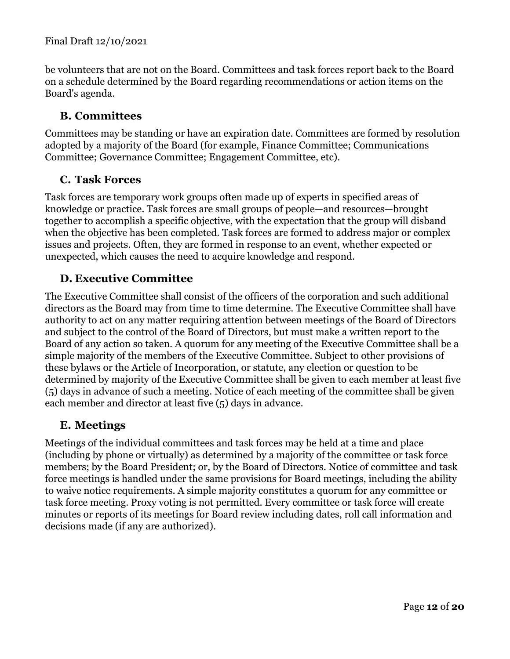#### Final Draft 12/10/2021

be volunteers that are not on the Board. Committees and task forces report back to the Board on a schedule determined by the Board regarding recommendations or action items on the Board's agenda.

### <span id="page-11-0"></span>**B. Committees**

Committees may be standing or have an expiration date. Committees are formed by resolution adopted by a majority of the Board (for example, Finance Committee; Communications Committee; Governance Committee; Engagement Committee, etc).

#### <span id="page-11-1"></span>**C. Task Forces**

Task forces are temporary work groups often made up of experts in specified areas of knowledge or practice. Task forces are small groups of people—and resources—brought together to accomplish a specific objective, with the expectation that the group will disband when the objective has been completed. Task forces are formed to address major or complex issues and projects. Often, they are formed in response to an event, whether expected or unexpected, which causes the need to acquire knowledge and respond.

### <span id="page-11-2"></span>**D. Executive Committee**

The Executive Committee shall consist of the officers of the corporation and such additional directors as the Board may from time to time determine. The Executive Committee shall have authority to act on any matter requiring attention between meetings of the Board of Directors and subject to the control of the Board of Directors, but must make a written report to the Board of any action so taken. A quorum for any meeting of the Executive Committee shall be a simple majority of the members of the Executive Committee. Subject to other provisions of these bylaws or the Article of Incorporation, or statute, any election or question to be determined by majority of the Executive Committee shall be given to each member at least five (5) days in advance of such a meeting. Notice of each meeting of the committee shall be given each member and director at least five (5) days in advance.

#### <span id="page-11-3"></span>**E. Meetings**

Meetings of the individual committees and task forces may be held at a time and place (including by phone or virtually) as determined by a majority of the committee or task force members; by the Board President; or, by the Board of Directors. Notice of committee and task force meetings is handled under the same provisions for Board meetings, including the ability to waive notice requirements. A simple majority constitutes a quorum for any committee or task force meeting. Proxy voting is not permitted. Every committee or task force will create minutes or reports of its meetings for Board review including dates, roll call information and decisions made (if any are authorized).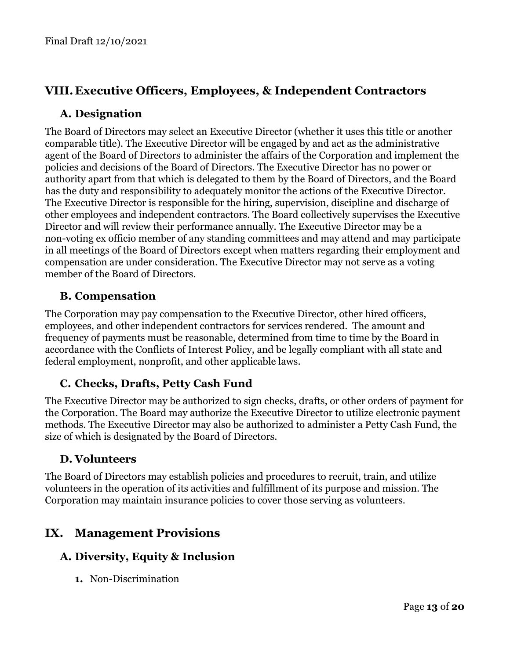# <span id="page-12-1"></span><span id="page-12-0"></span>**VIII. Executive Officers, Employees, & Independent Contractors**

# **A. Designation**

The Board of Directors may select an Executive Director (whether it uses this title or another comparable title). The Executive Director will be engaged by and act as the administrative agent of the Board of Directors to administer the affairs of the Corporation and implement the policies and decisions of the Board of Directors. The Executive Director has no power or authority apart from that which is delegated to them by the Board of Directors, and the Board has the duty and responsibility to adequately monitor the actions of the Executive Director. The Executive Director is responsible for the hiring, supervision, discipline and discharge of other employees and independent contractors. The Board collectively supervises the Executive Director and will review their performance annually. The Executive Director may be a non-voting ex officio member of any standing committees and may attend and may participate in all meetings of the Board of Directors except when matters regarding their employment and compensation are under consideration. The Executive Director may not serve as a voting member of the Board of Directors.

# <span id="page-12-2"></span>**B. Compensation**

The Corporation may pay compensation to the Executive Director, other hired officers, employees, and other independent contractors for services rendered. The amount and frequency of payments must be reasonable, determined from time to time by the Board in accordance with the Conflicts of Interest Policy, and be legally compliant with all state and federal employment, nonprofit, and other applicable laws.

# <span id="page-12-3"></span>**C. Checks, Drafts, Petty Cash Fund**

The Executive Director may be authorized to sign checks, drafts, or other orders of payment for the Corporation. The Board may authorize the Executive Director to utilize electronic payment methods. The Executive Director may also be authorized to administer a Petty Cash Fund, the size of which is designated by the Board of Directors.

### <span id="page-12-4"></span>**D. Volunteers**

The Board of Directors may establish policies and procedures to recruit, train, and utilize volunteers in the operation of its activities and fulfillment of its purpose and mission. The Corporation may maintain insurance policies to cover those serving as volunteers.

# <span id="page-12-6"></span><span id="page-12-5"></span>**IX. Management Provisions**

### **A. Diversity, Equity & Inclusion**

**1.** Non-Discrimination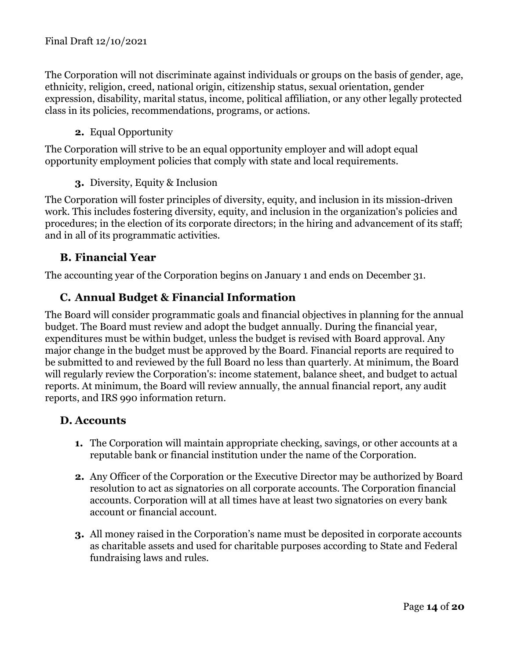The Corporation will not discriminate against individuals or groups on the basis of gender, age, ethnicity, religion, creed, national origin, citizenship status, sexual orientation, gender expression, disability, marital status, income, political affiliation, or any other legally protected class in its policies, recommendations, programs, or actions.

#### **2.** Equal Opportunity

The Corporation will strive to be an equal opportunity employer and will adopt equal opportunity employment policies that comply with state and local requirements.

### **3.** Diversity, Equity & Inclusion

The Corporation will foster principles of diversity, equity, and inclusion in its mission-driven work. This includes fostering diversity, equity, and inclusion in the organization's policies and procedures; in the election of its corporate directors; in the hiring and advancement of its staff; and in all of its programmatic activities.

# <span id="page-13-0"></span>**B. Financial Year**

<span id="page-13-1"></span>The accounting year of the Corporation begins on January 1 and ends on December 31.

# **C. Annual Budget & Financial Information**

The Board will consider programmatic goals and financial objectives in planning for the annual budget. The Board must review and adopt the budget annually. During the financial year, expenditures must be within budget, unless the budget is revised with Board approval. Any major change in the budget must be approved by the Board. Financial reports are required to be submitted to and reviewed by the full Board no less than quarterly. At minimum, the Board will regularly review the Corporation's: income statement, balance sheet, and budget to actual reports. At minimum, the Board will review annually, the annual financial report, any audit reports, and IRS 990 information return.

#### <span id="page-13-2"></span>**D. Accounts**

- **1.** The Corporation will maintain appropriate checking, savings, or other accounts at a reputable bank or financial institution under the name of the Corporation.
- **2.** Any Officer of the Corporation or the Executive Director may be authorized by Board resolution to act as signatories on all corporate accounts. The Corporation financial accounts. Corporation will at all times have at least two signatories on every bank account or financial account.
- **3.** All money raised in the Corporation's name must be deposited in corporate accounts as charitable assets and used for charitable purposes according to State and Federal fundraising laws and rules.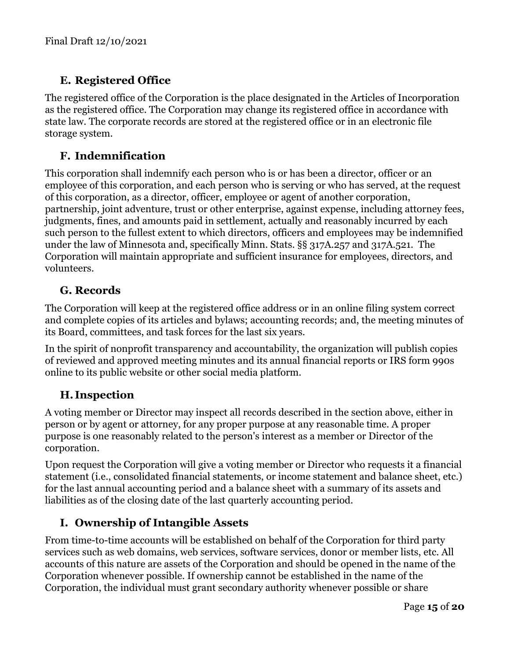# <span id="page-14-0"></span>**E. Registered Office**

The registered office of the Corporation is the place designated in the Articles of Incorporation as the registered office. The Corporation may change its registered office in accordance with state law. The corporate records are stored at the registered office or in an electronic file storage system.

# <span id="page-14-1"></span>**F. Indemnification**

This corporation shall indemnify each person who is or has been a director, officer or an employee of this corporation, and each person who is serving or who has served, at the request of this corporation, as a director, officer, employee or agent of another corporation, partnership, joint adventure, trust or other enterprise, against expense, including attorney fees, judgments, fines, and amounts paid in settlement, actually and reasonably incurred by each such person to the fullest extent to which directors, officers and employees may be indemnified under the law of Minnesota and, specifically Minn. Stats. §§ 317A.257 and 317A.521. The Corporation will maintain appropriate and sufficient insurance for employees, directors, and volunteers.

# <span id="page-14-2"></span>**G. Records**

The Corporation will keep at the registered office address or in an online filing system correct and complete copies of its articles and bylaws; accounting records; and, the meeting minutes of its Board, committees, and task forces for the last six years.

In the spirit of nonprofit transparency and accountability, the organization will publish copies of reviewed and approved meeting minutes and its annual financial reports or IRS form 990s online to its public website or other social media platform.

# <span id="page-14-3"></span>**H. Inspection**

A voting member or Director may inspect all records described in the section above, either in person or by agent or attorney, for any proper purpose at any reasonable time. A proper purpose is one reasonably related to the person's interest as a member or Director of the corporation.

Upon request the Corporation will give a voting member or Director who requests it a financial statement (i.e., consolidated financial statements, or income statement and balance sheet, etc.) for the last annual accounting period and a balance sheet with a summary of its assets and liabilities as of the closing date of the last quarterly accounting period.

# <span id="page-14-4"></span>**I. Ownership of Intangible Assets**

From time-to-time accounts will be established on behalf of the Corporation for third party services such as web domains, web services, software services, donor or member lists, etc. All accounts of this nature are assets of the Corporation and should be opened in the name of the Corporation whenever possible. If ownership cannot be established in the name of the Corporation, the individual must grant secondary authority whenever possible or share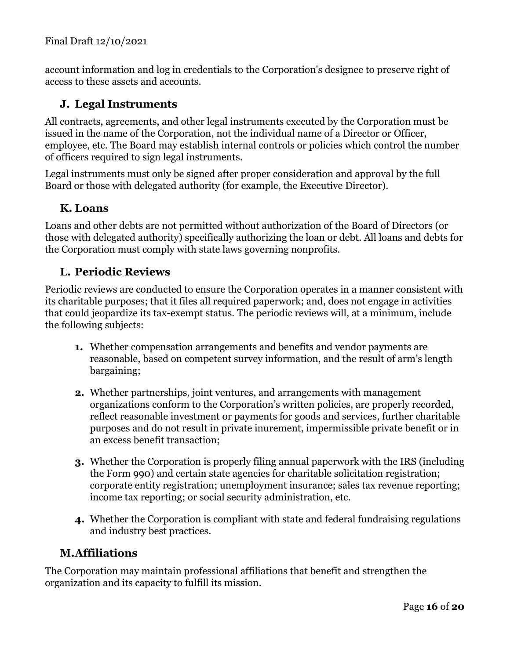account information and log in credentials to the Corporation's designee to preserve right of access to these assets and accounts.

# <span id="page-15-0"></span>**J. Legal Instruments**

All contracts, agreements, and other legal instruments executed by the Corporation must be issued in the name of the Corporation, not the individual name of a Director or Officer, employee, etc. The Board may establish internal controls or policies which control the number of officers required to sign legal instruments.

Legal instruments must only be signed after proper consideration and approval by the full Board or those with delegated authority (for example, the Executive Director).

# <span id="page-15-1"></span>**K. Loans**

Loans and other debts are not permitted without authorization of the Board of Directors (or those with delegated authority) specifically authorizing the loan or debt. All loans and debts for the Corporation must comply with state laws governing nonprofits.

# <span id="page-15-2"></span>**L. Periodic Reviews**

Periodic reviews are conducted to ensure the Corporation operates in a manner consistent with its charitable purposes; that it files all required paperwork; and, does not engage in activities that could jeopardize its tax-exempt status. The periodic reviews will, at a minimum, include the following subjects:

- **1.** Whether compensation arrangements and benefits and vendor payments are reasonable, based on competent survey information, and the result of arm's length bargaining;
- **2.** Whether partnerships, joint ventures, and arrangements with management organizations conform to the Corporation's written policies, are properly recorded, reflect reasonable investment or payments for goods and services, further charitable purposes and do not result in private inurement, impermissible private benefit or in an excess benefit transaction;
- **3.** Whether the Corporation is properly filing annual paperwork with the IRS (including the Form 990) and certain state agencies for charitable solicitation registration; corporate entity registration; unemployment insurance; sales tax revenue reporting; income tax reporting; or social security administration, etc.
- **4.** Whether the Corporation is compliant with state and federal fundraising regulations and industry best practices.

# <span id="page-15-3"></span>**M.Affiliations**

The Corporation may maintain professional affiliations that benefit and strengthen the organization and its capacity to fulfill its mission.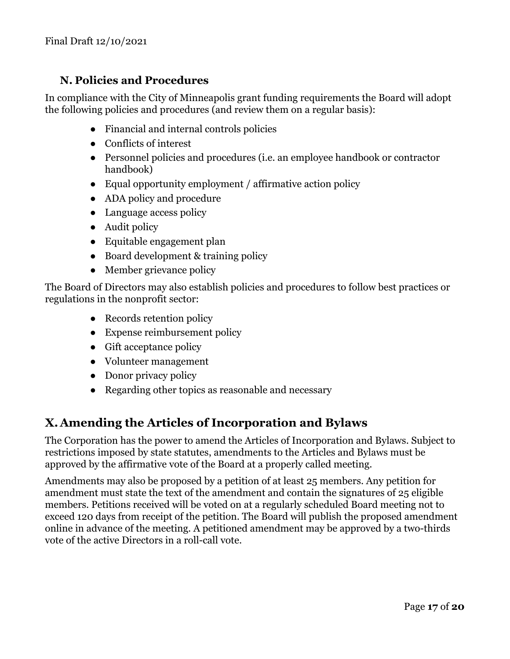# <span id="page-16-0"></span>**N. Policies and Procedures**

In compliance with the City of Minneapolis grant funding requirements the Board will adopt the following policies and procedures (and review them on a regular basis):

- Financial and internal controls policies
- Conflicts of interest
- Personnel policies and procedures (i.e. an employee handbook or contractor handbook)
- Equal opportunity employment / affirmative action policy
- ADA policy and procedure
- Language access policy
- Audit policy
- Equitable engagement plan
- Board development & training policy
- Member grievance policy

The Board of Directors may also establish policies and procedures to follow best practices or regulations in the nonprofit sector:

- Records retention policy
- Expense reimbursement policy
- Gift acceptance policy
- Volunteer management
- Donor privacy policy
- Regarding other topics as reasonable and necessary

# <span id="page-16-1"></span>**X.Amending the Articles of Incorporation and Bylaws**

The Corporation has the power to amend the Articles of Incorporation and Bylaws. Subject to restrictions imposed by state statutes, amendments to the Articles and Bylaws must be approved by the affirmative vote of the Board at a properly called meeting.

Amendments may also be proposed by a petition of at least 25 members. Any petition for amendment must state the text of the amendment and contain the signatures of 25 eligible members. Petitions received will be voted on at a regularly scheduled Board meeting not to exceed 120 days from receipt of the petition. The Board will publish the proposed amendment online in advance of the meeting. A petitioned amendment may be approved by a two-thirds vote of the active Directors in a roll-call vote.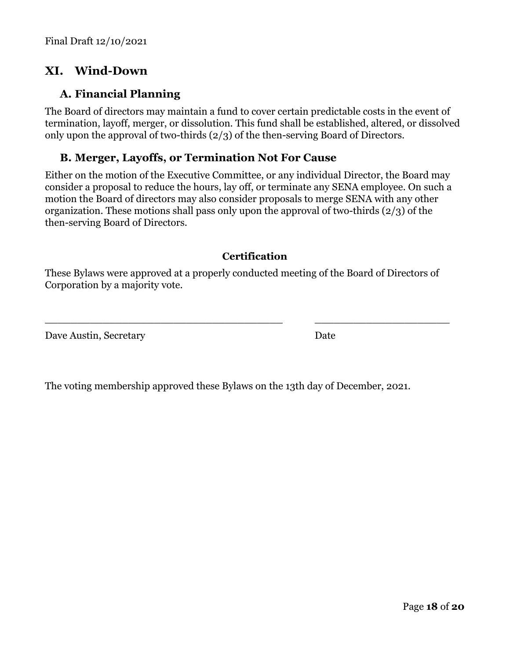# **XI. Wind-Down**

### **A. Financial Planning**

The Board of directors may maintain a fund to cover certain predictable costs in the event of termination, layoff, merger, or dissolution. This fund shall be established, altered, or dissolved only upon the approval of two-thirds (2/3) of the then-serving Board of Directors.

### **B. Merger, Layoffs, or Termination Not For Cause**

Either on the motion of the Executive Committee, or any individual Director, the Board may consider a proposal to reduce the hours, lay off, or terminate any SENA employee. On such a motion the Board of directors may also consider proposals to merge SENA with any other organization. These motions shall pass only upon the approval of two-thirds (2/3) of the then-serving Board of Directors.

#### **Certification**

These Bylaws were approved at a properly conducted meeting of the Board of Directors of Corporation by a majority vote.

\_\_\_\_\_\_\_\_\_\_\_\_\_\_\_\_\_\_\_\_\_\_\_\_\_\_\_\_\_\_\_\_\_\_\_\_\_ \_\_\_\_\_\_\_\_\_\_\_\_\_\_\_\_\_\_\_\_\_

Dave Austin, Secretary Date

The voting membership approved these Bylaws on the 13th day of December, 2021.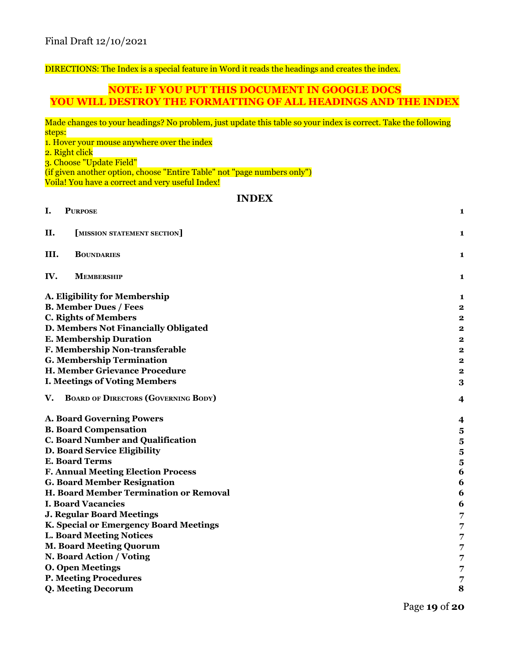DIRECTIONS: The Index is a special feature in Word it reads the headings and creates the index.

#### **NOTE: IF YOU PUT THIS DOCUMENT IN GOOGLE DOCS YOU WILL DESTROY THE FORMATTING OF ALL HEADINGS AND THE INDEX**

Made changes to your headings? No problem, just update this table so your index is correct. Take the following steps: 1. Hover your mouse anywhere over the index 2. Right click 3. Choose "Update Field" (if given another option, choose "Entire Table" not "page numbers only") Voila! You have a correct and very useful Index! **INDEX I. P[URPOSE](#page-0-0) 1 II. [MISSION STATEMENT SECTION] 1 III. B[OUNDARIES](#page-0-1) 1 IV. M[EMBERSHIP](#page-1-0) 1 A. Eligibility for [Membership](#page-1-1) 1 B. [Member](#page-1-2) Dues / Fees 2 C. Rights of [Members](#page-1-3) 2 D. Members Not [Financially](#page-1-4) Obligated 2**

- **E. [Membership](#page-2-0) Duration 2**
- **F. Membership [Non-transferable](#page-2-1) 2**
- **G. [Membership](#page-2-2) Termination 2**
- **H. Member Grievance [Procedure](#page-2-3) 2**
- **I. Meetings of Voting [Members](#page-2-4) 3**
- **V. BOARD OF DIRECTORS (G[OVERNING](#page-4-0) BODY) 4**
- **A. Board [Governing](#page-4-1) Powers 4**
- **B. Board [Compensation](#page-5-0) 5**
- **C. Board Number and [Qualification](#page-5-1) 5**
- **D. Board Service Eligibility 5**
- **E. Board [Terms](#page-5-2) 5**
- **F. Annual Meeting Election Process 6**
- **G. Board Member [Resignation](#page-6-0) 6**
- **H. Board Member [Termination](#page-6-1) or Removal 6**
- **I. Board [Vacancies](#page-7-0) 6**
- **J. Regular Board [Meetings](#page-7-1) 7**
- **K. Special or [Emergency](#page-7-2) Board Meetings 7**
- **L. Board [Meeting](#page-7-3) Notices 7**
- **M. Board Meeting [Quorum](#page-7-4) 7**
- **N. Board Action / [Voting](#page-7-5) 7**
- **O. Open [Meetings](#page-7-6) 7**
- **P. Meeting [Procedures](#page-8-0) 7**
- **Q. Meeting [Decorum](#page-8-1) 8**